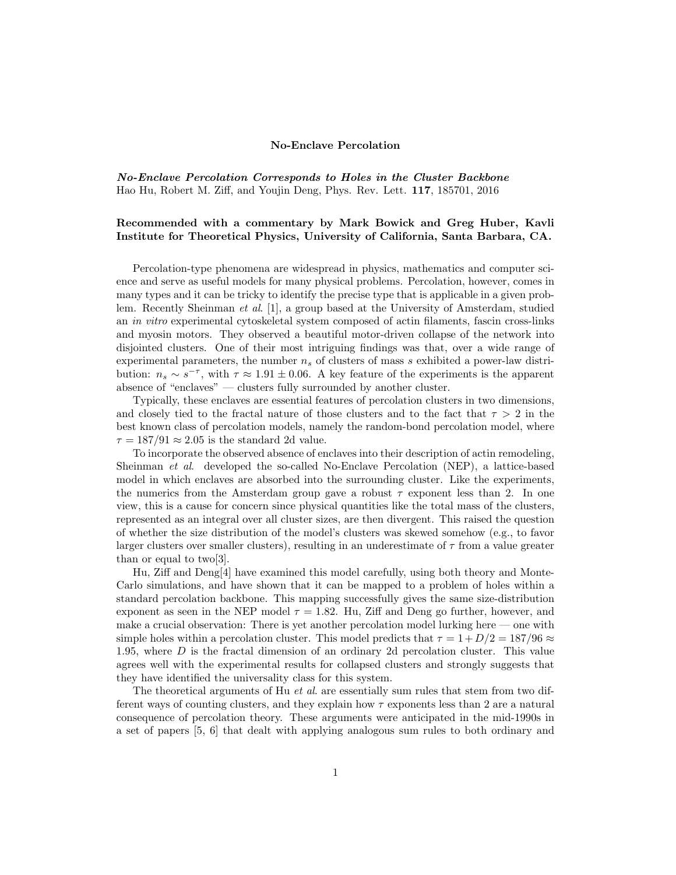## No-Enclave Percolation

*No-Enclave Percolation Corresponds to Holes in the Cluster Backbone* Hao Hu, Robert M. Ziff, and Youjin Deng, Phys. Rev. Lett. 117, 185701, 2016

## Recommended with a commentary by Mark Bowick and Greg Huber, Kavli Institute for Theoretical Physics, University of California, Santa Barbara, CA.

Percolation-type phenomena are widespread in physics, mathematics and computer science and serve as useful models for many physical problems. Percolation, however, comes in many types and it can be tricky to identify the precise type that is applicable in a given problem. Recently Sheinman *et al*. [\[1\]](#page-1-0), a group based at the University of Amsterdam, studied an *in vitro* experimental cytoskeletal system composed of actin filaments, fascin cross-links and myosin motors. They observed a beautiful motor-driven collapse of the network into disjointed clusters. One of their most intriguing findings was that, over a wide range of experimental parameters, the number *n<sup>s</sup>* of clusters of mass *s* exhibited a power-law distribution:  $n_s \sim s^{-\tau}$ , with  $\tau \approx 1.91 \pm 0.06$ . A key feature of the experiments is the apparent absence of "enclaves" — clusters fully surrounded by another cluster.

Typically, these enclaves are essential features of percolation clusters in two dimensions, and closely tied to the fractal nature of those clusters and to the fact that  $\tau > 2$  in the best known class of percolation models, namely the random-bond percolation model, where  $\tau = 187/91 \approx 2.05$  is the standard 2d value.

To incorporate the observed absence of enclaves into their description of actin remodeling, Sheinman *et al*. developed the so-called No-Enclave Percolation (NEP), a lattice-based model in which enclaves are absorbed into the surrounding cluster. Like the experiments, the numerics from the Amsterdam group gave a robust  $\tau$  exponent less than 2. In one view, this is a cause for concern since physical quantities like the total mass of the clusters, represented as an integral over all cluster sizes, are then divergent. This raised the question of whether the size distribution of the model's clusters was skewed somehow (e.g., to favor larger clusters over smaller clusters), resulting in an underestimate of  $\tau$  from a value greater than or equal to two[\[3\]](#page-1-1).

Hu, Ziff and  $Deng[4]$  $Deng[4]$  have examined this model carefully, using both theory and Monte-Carlo simulations, and have shown that it can be mapped to a problem of holes within a standard percolation backbone. This mapping successfully gives the same size-distribution exponent as seen in the NEP model  $\tau = 1.82$ . Hu, Ziff and Deng go further, however, and make a crucial observation: There is yet another percolation model lurking here — one with simple holes within a percolation cluster. This model predicts that  $\tau = 1 + D/2 = 187/96 \approx$ 1*.*95, where *D* is the fractal dimension of an ordinary 2d percolation cluster. This value agrees well with the experimental results for collapsed clusters and strongly suggests that they have identified the universality class for this system.

The theoretical arguments of Hu *et al*. are essentially sum rules that stem from two different ways of counting clusters, and they explain how  $\tau$  exponents less than 2 are a natural consequence of percolation theory. These arguments were anticipated in the mid-1990s in a set of papers [\[5,](#page-1-3) [6\]](#page-1-4) that dealt with applying analogous sum rules to both ordinary and